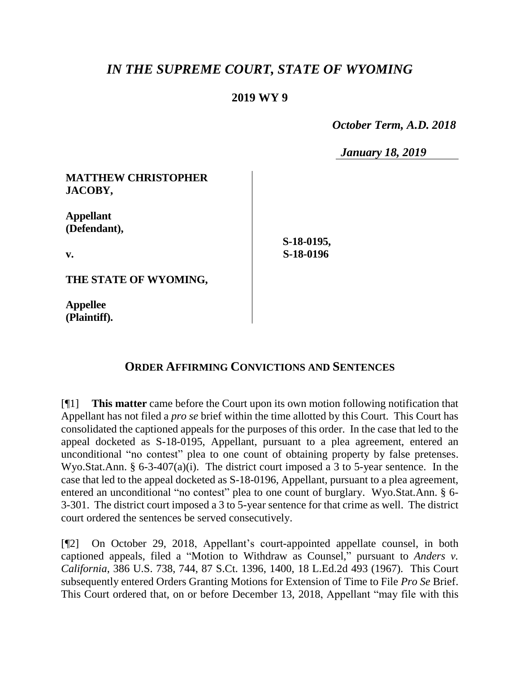## *IN THE SUPREME COURT, STATE OF WYOMING*

## **2019 WY 9**

 *October Term, A.D. 2018*

*January 18, 2019*

| <b>MATTHEW CHRISTOPHER</b><br>JACOBY, |            |
|---------------------------------------|------------|
| <b>Appellant</b><br>(Defendant),      | S-18-0195, |
| V.                                    | S-18-0196  |
| THE STATE OF WYOMING,                 |            |

**Appellee**

**(Plaintiff).**

## **ORDER AFFIRMING CONVICTIONS AND SENTENCES**

[¶1] **This matter** came before the Court upon its own motion following notification that Appellant has not filed a *pro se* brief within the time allotted by this Court. This Court has consolidated the captioned appeals for the purposes of this order. In the case that led to the appeal docketed as S-18-0195, Appellant, pursuant to a plea agreement, entered an unconditional "no contest" plea to one count of obtaining property by false pretenses. Wyo.Stat.Ann. § 6-3-407(a)(i). The district court imposed a 3 to 5-year sentence. In the case that led to the appeal docketed as S-18-0196, Appellant, pursuant to a plea agreement, entered an unconditional "no contest" plea to one count of burglary. Wyo.Stat.Ann. § 6- 3-301. The district court imposed a 3 to 5-year sentence for that crime as well. The district court ordered the sentences be served consecutively.

[¶2] On October 29, 2018, Appellant's court-appointed appellate counsel, in both captioned appeals, filed a "Motion to Withdraw as Counsel," pursuant to *Anders v. California*, 386 U.S. 738, 744, 87 S.Ct. 1396, 1400, 18 L.Ed.2d 493 (1967). This Court subsequently entered Orders Granting Motions for Extension of Time to File *Pro Se* Brief. This Court ordered that, on or before December 13, 2018, Appellant "may file with this